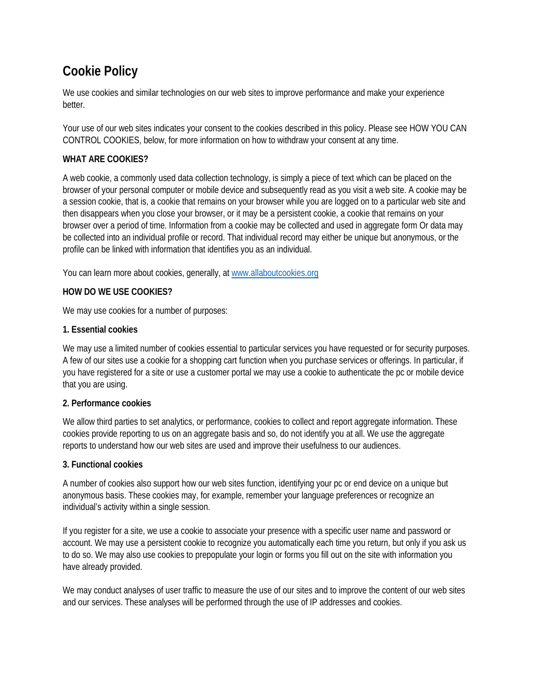# **Cookie Policy**

We use cookies and similar technologies on our web sites to improve performance and make your experience better.

Your use of our web sites indicates your consent to the cookies described in this policy. Please see HOW YOU CAN CONTROL COOKIES, below, for more information on how to withdraw your consent at any time.

## **WHAT ARE COOKIES?**

A web cookie, a commonly used data collection technology, is simply a piece of text which can be placed on the browser of your personal computer or mobile device and subsequently read as you visit a web site. A cookie may be a session cookie, that is, a cookie that remains on your browser while you are logged on to a particular web site and then disappears when you close your browser, or it may be a persistent cookie, a cookie that remains on your browser over a period of time. Information from a cookie may be collected and used in aggregate form Or data may be collected into an individual profile or record. That individual record may either be unique but anonymous, or the profile can be linked with information that identifies you as an individual.

You can learn more about cookies, generally, at [www.allaboutcookies.org](http://privacypolicy.ubm.com/cookiepolicy/www.allaboutcookies.org)

### **HOW DO WE USE COOKIES?**

We may use cookies for a number of purposes:

#### **1. Essential cookies**

We may use a limited number of cookies essential to particular services you have requested or for security purposes. A few of our sites use a cookie for a shopping cart function when you purchase services or offerings. In particular, if you have registered for a site or use a customer portal we may use a cookie to authenticate the pc or mobile device that you are using.

### **2. Performance cookies**

We allow third parties to set analytics, or performance, cookies to collect and report aggregate information. These cookies provide reporting to us on an aggregate basis and so, do not identify you at all. We use the aggregate reports to understand how our web sites are used and improve their usefulness to our audiences.

#### **3. Functional cookies**

A number of cookies also support how our web sites function, identifying your pc or end device on a unique but anonymous basis. These cookies may, for example, remember your language preferences or recognize an individual's activity within a single session.

If you register for a site, we use a cookie to associate your presence with a specific user name and password or account. We may use a persistent cookie to recognize you automatically each time you return, but only if you ask us to do so. We may also use cookies to prepopulate your login or forms you fill out on the site with information you have already provided.

We may conduct analyses of user traffic to measure the use of our sites and to improve the content of our web sites and our services. These analyses will be performed through the use of IP addresses and cookies.